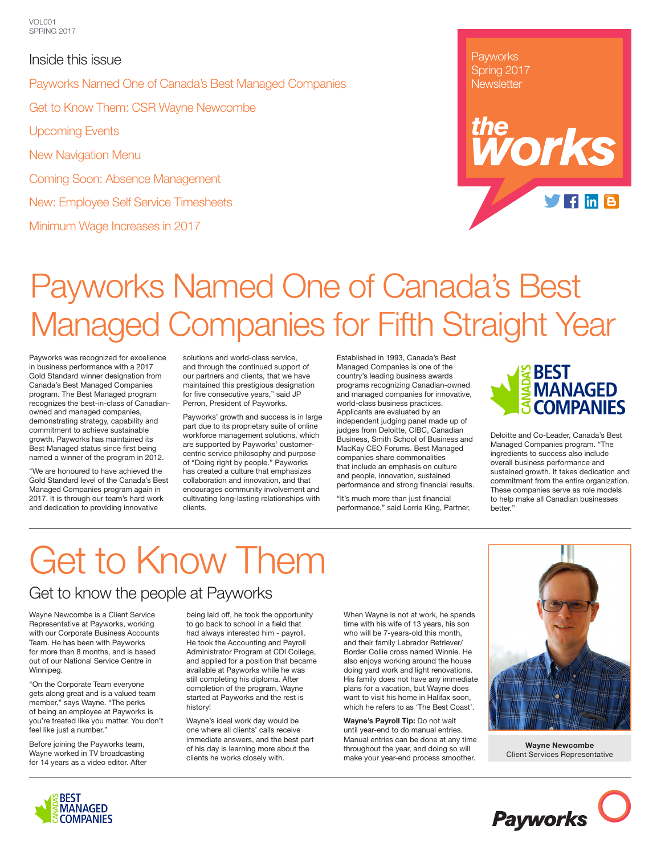### Inside this issue Payworks Named One of Canada's Best Managed Companies Get to Know Them: CSR Wayne Newcombe Upcoming Events New Navigation Menu Coming Soon: Absence Management New: Employee Self Service Timesheets

Minimum Wage Increases in 2017

**Payworks** Spring 2017 **Newsletter** 

# Payworks Named One of Canada's Best Managed Companies for Fifth Straight Year

Payworks was recognized for excellence in business performance with a 2017 Gold Standard winner designation from Canada's Best Managed Companies program. The Best Managed program recognizes the best-in-class of Canadianowned and managed companies, demonstrating strategy, capability and commitment to achieve sustainable growth. Payworks has maintained its Best Managed status since first being named a winner of the program in 2012.

"We are honoured to have achieved the Gold Standard level of the Canada's Best Managed Companies program again in 2017. It is through our team's hard work and dedication to providing innovative

solutions and world-class service, and through the continued support of our partners and clients, that we have maintained this prestigious designation for five consecutive years," said JP Perron, President of Payworks.

Payworks' growth and success is in large part due to its proprietary suite of online workforce management solutions, which are supported by Payworks' customercentric service philosophy and purpose of "Doing right by people." Payworks has created a culture that emphasizes collaboration and innovation, and that encourages community involvement and cultivating long-lasting relationships with clients.

Established in 1993, Canada's Best Managed Companies is one of the country's leading business awards programs recognizing Canadian-owned and managed companies for innovative, world-class business practices. Applicants are evaluated by an independent judging panel made up of judges from Deloitte, CIBC, Canadian Business, Smith School of Business and MacKay CEO Forums. Best Managed companies share commonalities that include an emphasis on culture and people, innovation, sustained performance and strong financial results.

"It's much more than just financial performance," said Lorrie King, Partner,



he<br>**NOrks** 

 $f\ln B$ 

Deloitte and Co-Leader, Canada's Best Managed Companies program. "The ingredients to success also include overall business performance and sustained growth. It takes dedication and commitment from the entire organization. These companies serve as role models to help make all Canadian businesses better."

# Get to Know Them

### Get to know the people at Payworks

Wayne Newcombe is a Client Service Representative at Payworks, working with our Corporate Business Accounts Team. He has been with Payworks for more than 8 months, and is based out of our National Service Centre in Winnipeg.

"On the Corporate Team everyone gets along great and is a valued team member," says Wayne. "The perks of being an employee at Payworks is you're treated like you matter. You don't feel like just a number."

Before joining the Payworks team, Wayne worked in TV broadcasting for 14 years as a video editor. After

being laid off, he took the opportunity to go back to school in a field that had always interested him - payroll. He took the Accounting and Payroll Administrator Program at CDI College, and applied for a position that became available at Payworks while he was still completing his diploma. After completion of the program, Wayne started at Payworks and the rest is history!

Wayne's ideal work day would be one where all clients' calls receive immediate answers, and the best part of his day is learning more about the clients he works closely with.

When Wayne is not at work, he spends time with his wife of 13 years, his son who will be 7-years-old this month, and their family Labrador Retriever/ Border Collie cross named Winnie. He also enjoys working around the house doing yard work and light renovations. His family does not have any immediate plans for a vacation, but Wayne does want to visit his home in Halifax soon, which he refers to as 'The Best Coast'.

**Wayne's Payroll Tip:** Do not wait until year-end to do manual entries. Manual entries can be done at any time throughout the year, and doing so will make your year-end process smoother.



**Wayne Newcombe** Client Services Representative

**Payworks** 

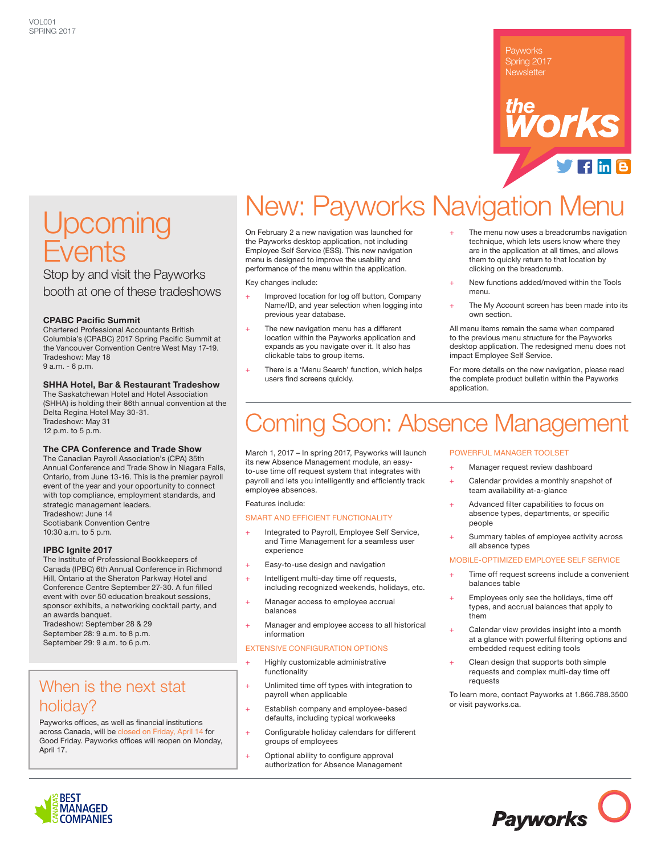### Payworks Spring 2017 **Newsletter**



## **Upcoming** Events

Stop by and visit the Payworks booth at one of these tradeshows

### **CPABC Pacific Summit**

Chartered Professional Accountants British Columbia's (CPABC) 2017 Spring Pacific Summit at the Vancouver Convention Centre West May 17-19. Tradeshow: May 18 9 a.m. - 6 p.m.

### **SHHA Hotel, Bar & Restaurant Tradeshow**

The Saskatchewan Hotel and Hotel Association (SHHA) is holding their 86th annual convention at the Delta Regina Hotel May 30-31. Tradeshow: May 31 12 p.m. to 5 p.m.

#### **The CPA Conference and Trade Show**

The Canadian Payroll Association's (CPA) 35th Annual Conference and Trade Show in Niagara Falls, Ontario, from June 13-16. This is the premier payroll event of the year and your opportunity to connect with top compliance, employment standards, and strategic management leaders. Tradeshow: June 14 Scotiabank Convention Centre 10:30 a.m. to 5 p.m.

**IPBC Ignite 2017**

The Institute of Professional Bookkeepers of Canada (IPBC) 6th Annual Conference in Richmond Hill, Ontario at the Sheraton Parkway Hotel and Conference Centre September 27-30. A fun filled event with over 50 education breakout sessions, sponsor exhibits, a networking cocktail party, and an awards banquet. Tradeshow: September 28 & 29

September 28: 9 a.m. to 8 p.m. September 29: 9 a.m. to 6 p.m.

### When is the next stat holiday?

Payworks offices, as well as financial institutions across Canada, will be closed on Friday, April 14 for Good Friday. Payworks offices will reopen on Monday, April 17.

## New: Payworks Navigation Menu

On February 2 a new navigation was launched for the Payworks desktop application, not including Employee Self Service (ESS). This new navigation menu is designed to improve the usability and performance of the menu within the application.

Key changes include:

- Improved location for log off button, Company Name/ID, and year selection when logging into previous year database.
- The new navigation menu has a different location within the Payworks application and expands as you navigate over it. It also has clickable tabs to group items.
- There is a 'Menu Search' function, which helps users find screens quickly.
- The menu now uses a breadcrumbs navigation technique, which lets users know where they are in the application at all times, and allows them to quickly return to that location by clicking on the breadcrumb.
- New functions added/moved within the Tools menu.
- The My Account screen has been made into its own section.

All menu items remain the same when compared to the previous menu structure for the Payworks desktop application. The redesigned menu does not impact Employee Self Service.

For more details on the new navigation, please read the complete product bulletin within the Payworks application.

### oming Soon: Absence Management

March 1, 2017 – In spring 2017, Payworks will launch its new Absence Management module, an easyto-use time off request system that integrates with payroll and lets you intelligently and efficiently track employee absences.

#### Features include:

#### SMART AND EFFICIENT FUNCTIONALITY

- Integrated to Payroll, Employee Self Service, and Time Management for a seamless user experience
- + Easy-to-use design and navigation
- Intelligent multi-day time off requests,
- including recognized weekends, holidays, etc.
- Manager access to employee accrual balances
- Manager and employee access to all historical information

### EXTENSIVE CONFIGURATION OPTIONS

- Highly customizable administrative functionality
- + Unlimited time off types with integration to payroll when applicable
- Establish company and employee-based defaults, including typical workweeks
- Configurable holiday calendars for different groups of employees
- Optional ability to configure approval authorization for Absence Management

### POWERFUL MANAGER TOOLSET

- Manager request review dashboard
- Calendar provides a monthly snapshot of team availability at-a-glance
- Advanced filter capabilities to focus on absence types, departments, or specific people
- Summary tables of employee activity across all absence types

#### MOBILE-OPTIMIZED EMPLOYEE SELF SERVICE

- Time off request screens include a convenient balances table
- Employees only see the holidays, time off types, and accrual balances that apply to them
- Calendar view provides insight into a month at a glance with powerful filtering options and embedded request editing tools
- Clean design that supports both simple requests and complex multi-day time off requests

To learn more, contact Payworks at 1.866.788.3500 or visit payworks.ca.